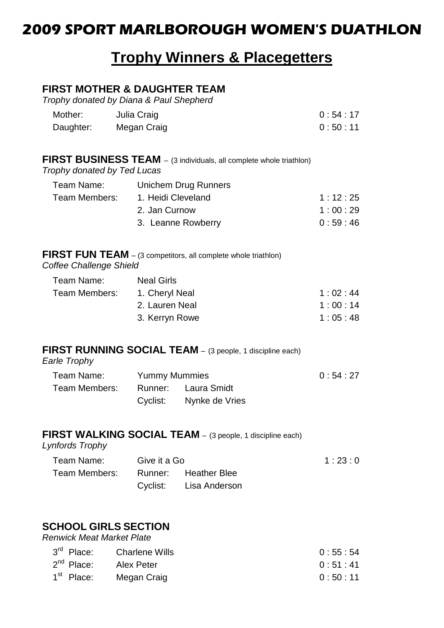## **2009 SPORT MARLBOROUGH WOMEN'S DUATHLON**

# **Trophy Winners & Placegetters**

#### **FIRST MOTHER & DAUGHTER TEAM**

*Trophy donated by Diana & Paul Shepherd*

| Mother:   | Julia Craig | 0:54:17 |
|-----------|-------------|---------|
| Daughter: | Megan Craig | 0:50:11 |

| FIRST BUSINESS TEAM - (3 individuals, all complete whole triathlon) |  |  |  |
|---------------------------------------------------------------------|--|--|--|
|---------------------------------------------------------------------|--|--|--|

*Trophy donated by Ted Lucas*

| Unichem Drug Runners |                    |
|----------------------|--------------------|
| 1. Heidi Cleveland   | 1:12:25            |
| 2. Jan Curnow        | 1:00:29            |
|                      | 0:59:46            |
|                      | 3. Leanne Rowberry |

#### **FIRST FUN TEAM** – (3 competitors, all complete whole triathlon) *Coffee Challenge Shield*

| <b>Neal Girls</b> |         |
|-------------------|---------|
| 1. Cheryl Neal    | 1:02:44 |
| 2. Lauren Neal    | 1:00:14 |
| 3. Kerryn Rowe    | 1:05:48 |
|                   |         |

#### **FIRST RUNNING SOCIAL TEAM** – (3 people, 1 discipline each)

*Earle Trophy*

| Team Name:                        | <b>Yummy Mummies</b> |                         |  |  | 0:54:27 |
|-----------------------------------|----------------------|-------------------------|--|--|---------|
| Team Members: Runner: Laura Smidt |                      |                         |  |  |         |
|                                   |                      | Cyclist: Nynke de Vries |  |  |         |

#### **FIRST WALKING SOCIAL TEAM** – (3 people, 1 discipline each) *Lynfords Trophy*

| Team Name:                         | Give it a Go |                        | 1:23:0 |
|------------------------------------|--------------|------------------------|--------|
| Team Members: Runner: Heather Blee |              |                        |        |
|                                    |              | Cyclist: Lisa Anderson |        |

### **SCHOOL GIRLS SECTION**

*Renwick Meat Market Plate*

| 3 <sup>rd</sup> Place: | Charlene Wills | 0:55:54 |
|------------------------|----------------|---------|
| 2 <sup>nd</sup> Place: | Alex Peter     | 0:51:41 |
| 1 <sup>st</sup> Place: | Megan Craig    | 0:50:11 |